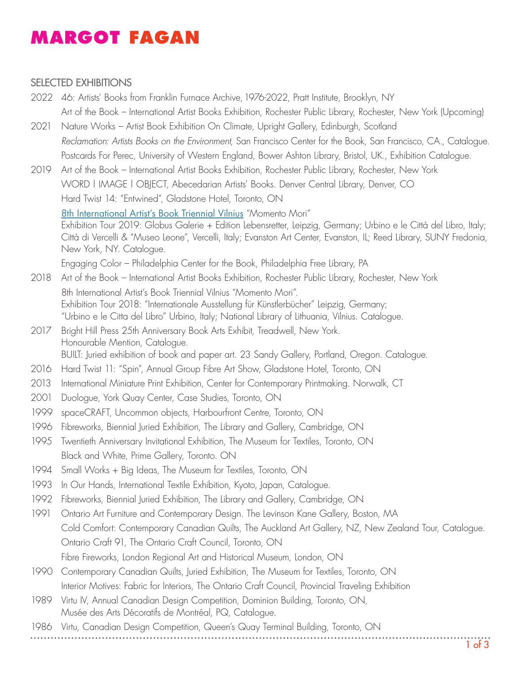## **[MARGOT](https://margotfagan.ca/) FAGAN**

#### SELECTED EXHIBITIONS

- 2022 46: Artists' Books from Franklin Furnace Archive, 1976-2022, Pratt Institute, Brooklyn, NY Art of the Book – International Artist Books Exhibition, Rochester Public Library, Rochester, New York (Upcoming)
- 2021 Nature Works Artist Book Exhibition On Climate, Upright Gallery, Edinburgh, Scotland *Reclamation: Artists Books on the Environment*, San Francisco Center for the Book, San Francisco, CA., Catalogue. Postcards For Perec, University of Western England, Bower Ashton Library, Bristol, UK., Exhibition Catalogue.
- 2019 Art of the Book International Artist Books Exhibition, Rochester Public Library, Rochester, New York WORD | IMAGE | OBJECT, Abecedarian Artists' Books. Denver Central Library, Denver, CO Hard Twist 14: "Entwined", Gladstone Hotel, Toronto, ON [8th International Artist's Book Triennial Vilnius](http://artistsbook.lt/blog/2018/09/26/8th-artists-book-triennial-in-vilnius-2018-2/) "Momento Mori" Exhibition Tour 2019: Globus Galerie + Edition Lebensretter, Leipzig, Germany; Urbino e le Città del Libro, Italy; Città di Vercelli & "Museo Leone", Vercelli, Italy; Evanston Art Center, Evanston, IL; Reed Library, SUNY Fredonia, New York, NY. Catalogue. Engaging Color – Philadelphia Center for the Book, Philadelphia Free Library, PA
- 2018 Art of the Book International Artist Books Exhibition, Rochester Public Library, Rochester, New York 8th International Artist's Book Triennial Vilnius "Momento Mori". Exhibition Tour 2018: "Internationale Ausstellung für Künstlerbücher" Leipzig, Germany; "Urbino e le Citta del Libro" Urbino, Italy; National Library of Lithuania, Vilnius. Catalogue.
- 2017 Bright Hill Press 25th Anniversary Book Arts Exhibit, Treadwell, New York. Honourable Mention, Catalogue. BUILT: Juried exhibition of book and paper art. 23 Sandy Gallery, Portland, Oregon. Catalogue.
- 2016 Hard Twist 11: "Spin", Annual Group Fibre Art Show, Gladstone Hotel, Toronto, ON
- 2013 International Miniature Print Exhibition, Center for Contemporary Printmaking. Norwalk, CT
- 2001 Duologue, York Quay Center, Case Studies, Toronto, ON
- 1999 spaceCRAFT, Uncommon objects, Harbourfront Centre, Toronto, ON
- 1996 Fibreworks, Biennial Juried Exhibition, The Library and Gallery, Cambridge, ON
- 1995 Twentieth Anniversary Invitational Exhibition, The Museum for Textiles, Toronto, ON Black and White, Prime Gallery, Toronto. ON
- 1994 Small Works + Big Ideas, The Museum for Textiles, Toronto, ON
- 1993 In Our Hands, International Textile Exhibition, Kyoto, Japan, Catalogue.
- 1992 Fibreworks, Biennial Juried Exhibition, The Library and Gallery, Cambridge, ON
- 1991 Ontario Art Furniture and Contemporary Design. The Levinson Kane Gallery, Boston, MA Cold Comfort: Contemporary Canadian Quilts, The Auckland Art Gallery, NZ, New Zealand Tour, Catalogue. Ontario Craft 91, The Ontario Craft Council, Toronto, ON Fibre Fireworks, London Regional Art and Historical Museum, London, ON
- 1990 Contemporary Canadian Quilts, Juried Exhibition, The Museum for Textiles, Toronto, ON Interior Motives: Fabric for Interiors, The Ontario Craft Council, Provincial Traveling Exhibition
- 1989 Virtu IV, Annual Canadian Design Competition, Dominion Building, Toronto, ON, Musée des Arts Décoratifs de Montréal, PQ, Catalogue.
- 1986 Virtu, Canadian Design Competition, Queen's Quay Terminal Building, Toronto, ON
-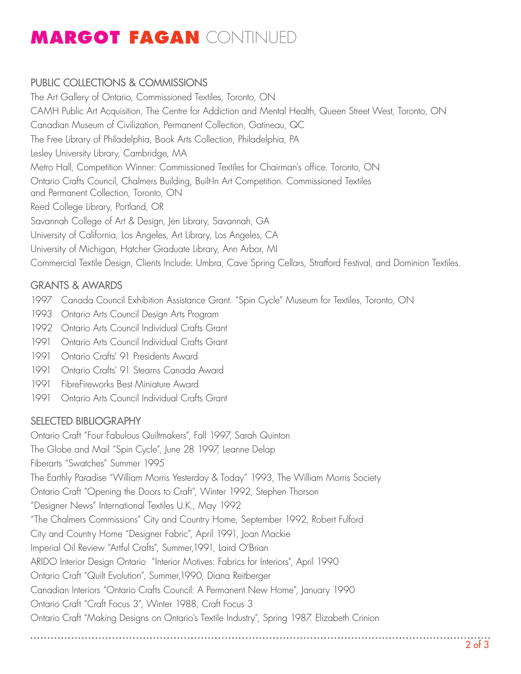# **[MARGOT](https://margotfagan.ca/) FAGAN** CONTINUED

### PUBLIC COLLECTIONS & COMMISSIONS

The Art Gallery of Ontario, Commissioned Textiles, Toronto, ON CAMH Public Art Acquisition, The Centre for Addiction and Mental Health, Queen Street West, Toronto, ON Canadian Museum of Civilization, Permanent Collection, Gatineau, QC The Free Library of Philadelphia, Book Arts Collection, Philadelphia, PA Lesley University Library, Cambridge, MA Metro Hall, Competition Winner: Commissioned Textiles for Chairman's office. Toronto, ON Ontario Crafts Council, Chalmers Building, Built-In Art Competition. Commissioned Textiles and Permanent Collection, Toronto, ON Reed College Library, Portland, OR Savannah College of Art & Design, Jen Library, Savannah, GA University of California, Los Angeles, Art Library, Los Angeles, CA University of Michigan, Hatcher Graduate Library, Ann Arbor, MI Commercial Textile Design, Clients Include: Umbra, Cave Spring Cellars, Stratford Festival, and Dominion Textiles.

### GRANTS & AWARDS

- 1997 Canada Council Exhibition Assistance Grant. "Spin Cycle" Museum for Textiles, Toronto, ON
- 1993 Ontario Arts Council Design Arts Program
- 1992 Ontario Arts Council Individual Crafts Grant
- 1991 Ontario Arts Council Individual Crafts Grant
- 1991 Ontario Crafts' 91 Presidents Award
- 1991 Ontario Crafts' 91 Stearns Canada Award
- 1991 FibreFireworks Best Miniature Award
- 1991 Ontario Arts Council Individual Crafts Grant

### SELECTED BIBLIOGRAPHY

Ontario Craft "Four Fabulous Quiltmakers", Fall 1997, Sarah Quinton

The Globe and Mail "Spin Cycle", June 28 1997, Leanne Delap

Fiberarts "Swatches" Summer 1995

The Earthly Paradise "William Morris Yesterday & Today" 1993, The William Morris Society

Ontario Craft "Opening the Doors to Craft", Winter 1992, Stephen Thorson

"Designer News" International Textiles U.K., May 1992

"The Chalmers Commissions" City and Country Home, September 1992, Robert Fulford

City and Country Home "Designer Fabric", April 1991, Joan Mackie

Imperial Oil Review "Artful Crafts", Summer,1991, Laird O'Brian

ARIDO Interior Design Ontario "Interior Motives: Fabrics for Interiors", April 1990

Ontario Craft "Quilt Evolution", Summer,1990, Diana Reitberger

Canadian Interiors "Ontario Crafts Council: A Permanent New Home", January 1990

Ontario Craft "Craft Focus 3", Winter 1988, Craft Focus 3

Ontario Craft "Making Designs on Ontario's Textile Industry", Spring 1987. Elizabeth Crinion